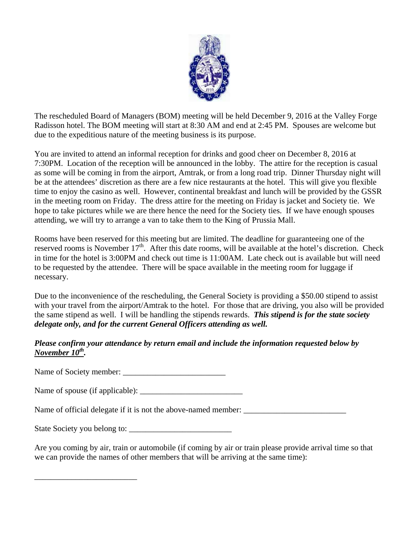

The rescheduled Board of Managers (BOM) meeting will be held December 9, 2016 at the Valley Forge Radisson hotel. The BOM meeting will start at 8:30 AM and end at 2:45 PM. Spouses are welcome but due to the expeditious nature of the meeting business is its purpose.

You are invited to attend an informal reception for drinks and good cheer on December 8, 2016 at 7:30PM. Location of the reception will be announced in the lobby. The attire for the reception is casual as some will be coming in from the airport, Amtrak, or from a long road trip. Dinner Thursday night will be at the attendees' discretion as there are a few nice restaurants at the hotel. This will give you flexible time to enjoy the casino as well. However, continental breakfast and lunch will be provided by the GSSR in the meeting room on Friday. The dress attire for the meeting on Friday is jacket and Society tie. We hope to take pictures while we are there hence the need for the Society ties. If we have enough spouses attending, we will try to arrange a van to take them to the King of Prussia Mall.

Rooms have been reserved for this meeting but are limited. The deadline for guaranteeing one of the reserved rooms is November 17<sup>th</sup>. After this date rooms, will be available at the hotel's discretion. Check in time for the hotel is 3:00PM and check out time is 11:00AM. Late check out is available but will need to be requested by the attendee. There will be space available in the meeting room for luggage if necessary.

Due to the inconvenience of the rescheduling, the General Society is providing a \$50.00 stipend to assist with your travel from the airport/Amtrak to the hotel. For those that are driving, you also will be provided the same stipend as well. I will be handling the stipends rewards. *This stipend is for the state society delegate only, and for the current General Officers attending as well.*

## *Please confirm your attendance by return email and include the information requested below by November 10<sup>th</sup>.*

Name of Society member: \_\_\_\_\_\_\_\_\_\_\_\_\_\_\_\_\_\_\_\_\_\_\_\_\_

Name of spouse (if applicable): \_\_\_\_\_\_\_\_\_\_\_\_\_\_\_\_\_\_\_\_\_\_\_\_\_

Name of official delegate if it is not the above-named member: \_\_\_\_\_\_\_\_\_\_\_\_\_\_\_\_\_\_\_\_\_\_\_\_\_

State Society you belong to: \_\_\_\_\_\_\_\_\_\_\_\_\_\_\_\_\_\_\_\_\_\_\_\_\_

\_\_\_\_\_\_\_\_\_\_\_\_\_\_\_\_\_\_\_\_\_\_\_\_\_

Are you coming by air, train or automobile (if coming by air or train please provide arrival time so that we can provide the names of other members that will be arriving at the same time):